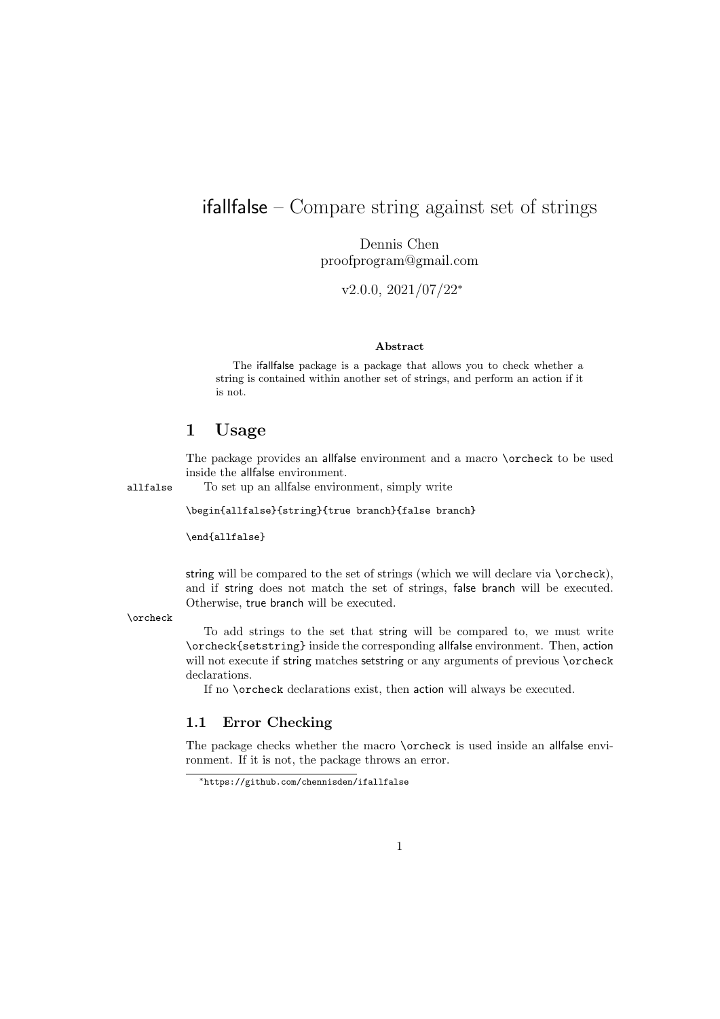## ifallfalse – Compare string against set of strings

Dennis Chen proofprogram@gmail.com

v2.0.0, 2021/07/22<sup>∗</sup>

#### Abstract

The ifallfalse package is a package that allows you to check whether a string is contained within another set of strings, and perform an action if it is not.

## 1 Usage

The package provides an allfalse environment and a macro \orcheck to be used inside the allfalse environment.

allfalse To set up an allfalse environment, simply write

\begin{allfalse}{string}{true branch}{false branch}

\end{allfalse}

string will be compared to the set of strings (which we will declare via  $\overline{\overline{\phantom{a}}}$  orcheck), and if string does not match the set of strings, false branch will be executed. Otherwise, true branch will be executed.

\orcheck

To add strings to the set that string will be compared to, we must write \orcheck{setstring} inside the corresponding allfalse environment. Then, action will not execute if string matches setstring or any arguments of previous **\orcheck** declarations.

If no \orcheck declarations exist, then action will always be executed.

#### 1.1 Error Checking

The package checks whether the macro \orcheck is used inside an allfalse environment. If it is not, the package throws an error.

<sup>∗</sup>https://github.com/chennisden/ifallfalse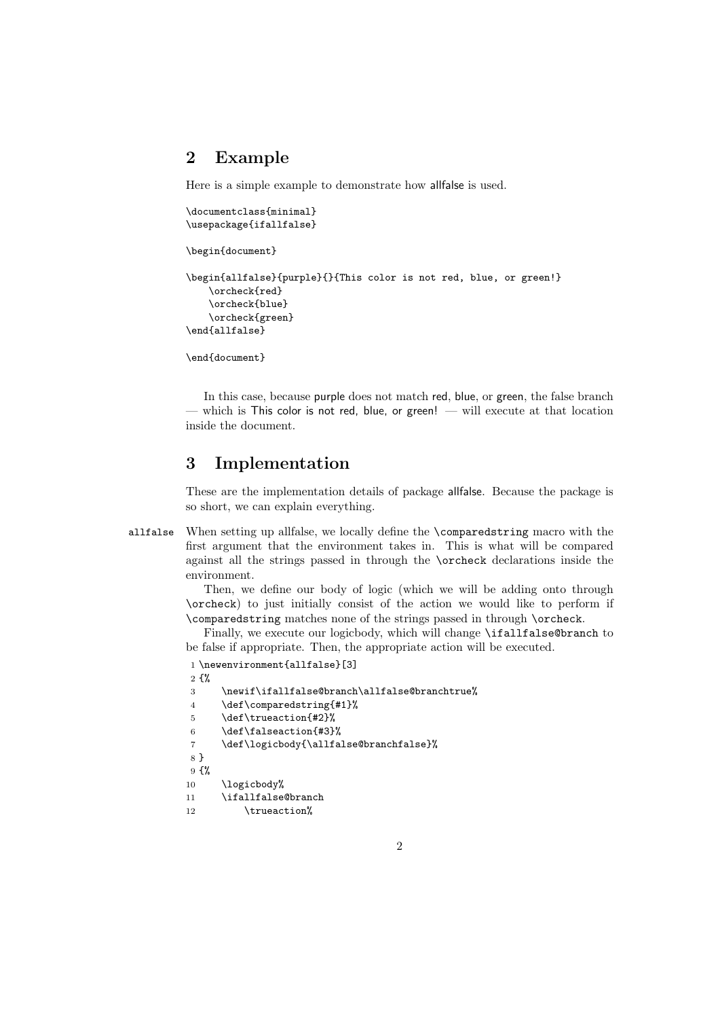### 2 Example

Here is a simple example to demonstrate how allfalse is used.

```
\documentclass{minimal}
\usepackage{ifallfalse}
\begin{document}
```

```
\begin{allfalse}{purple}{}{This color is not red, blue, or green!}
    \orcheck{red}
    \orcheck{blue}
    \orcheck{green}
\end{allfalse}
```
\end{document}

In this case, because purple does not match red, blue, or green, the false branch — which is This color is not red, blue, or green! — will execute at that location inside the document.

## 3 Implementation

These are the implementation details of package allfalse. Because the package is so short, we can explain everything.

allfalse When setting up allfalse, we locally define the \comparedstring macro with the first argument that the environment takes in. This is what will be compared against all the strings passed in through the \orcheck declarations inside the environment.

> Then, we define our body of logic (which we will be adding onto through \orcheck) to just initially consist of the action we would like to perform if \comparedstring matches none of the strings passed in through \orcheck.

> Finally, we execute our logicbody, which will change \ifallfalse@branch to be false if appropriate. Then, the appropriate action will be executed.

```
1 \newenvironment{allfalse}[3]
2 \frac{1}{2}3 \newif\ifallfalse@branch\allfalse@branchtrue%
4 \def\comparedstring{#1}%
5 \def\trueaction{#2}%
6 \def\falseaction{#3}%
7 \def\logicbody{\allfalse@branchfalse}%
8 }
9 {%
10 \logicbody%
11 \ifallfalse@branch
12 \trueaction%
```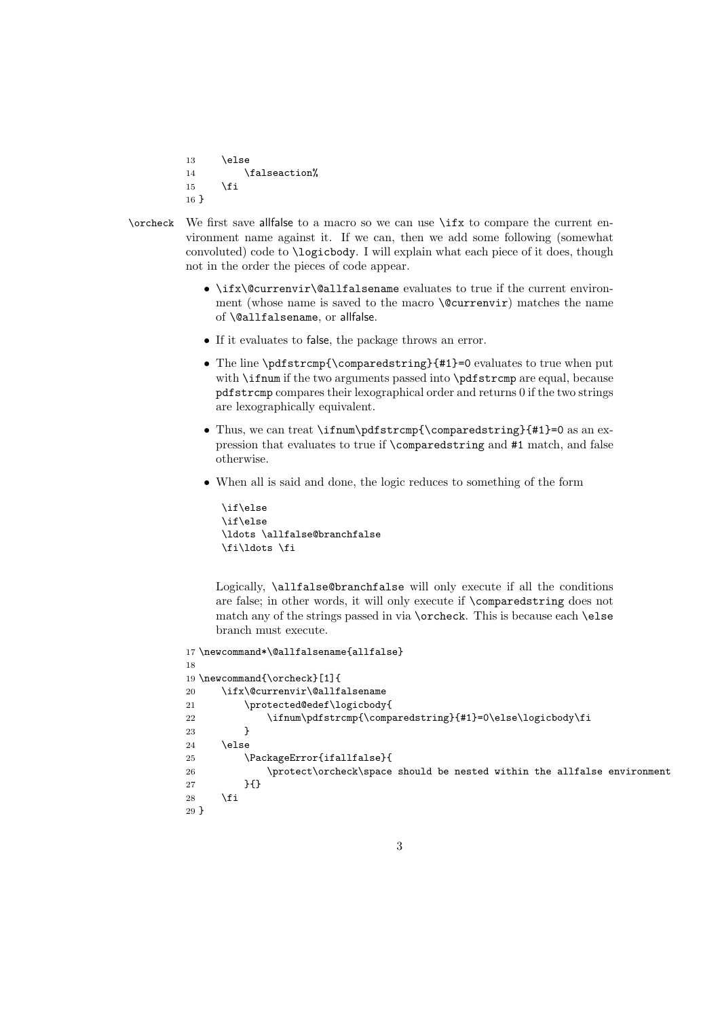```
13 \else
14 \falseaction%
15 \fi
16 }
```
- 
- \orcheck We first save allfalse to a macro so we can use \ifx to compare the current environment name against it. If we can, then we add some following (somewhat convoluted) code to \logicbody. I will explain what each piece of it does, though not in the order the pieces of code appear.
	- \ifx\@currenvir\@allfalsename evaluates to true if the current environment (whose name is saved to the macro \@currenvir) matches the name of \@allfalsename, or allfalse.
	- If it evaluates to false, the package throws an error.
	- The line \pdfstrcmp{\comparedstring}{#1}=0 evaluates to true when put with **\ifnum** if the two arguments passed into **\pdfstrcmp** are equal, because pdfstrcmp compares their lexographical order and returns 0 if the two strings are lexographically equivalent.
	- Thus, we can treat \ifnum\pdfstrcmp{\comparedstring}{#1}=0 as an expression that evaluates to true if \comparedstring and #1 match, and false otherwise.
	- When all is said and done, the logic reduces to something of the form

```
\if\else
\if\else
\ldots \allfalse@branchfalse
\fi\ldots \fi
```
Logically, \allfalse@branchfalse will only execute if all the conditions are false; in other words, it will only execute if \comparedstring does not match any of the strings passed in via \orcheck. This is because each \else branch must execute.

```
17 \newcommand*\@allfalsename{allfalse}
18
19 \newcommand{\orcheck}[1]{
20 \ifx\@currenvir\@allfalsename
21 \protected@edef\logicbody{
22 \ifnum\pdfstrcmp{\comparedstring}{#1}=0\else\logicbody\fi
23 }
24 \else
25 \PackageError{ifallfalse}{
26 \protect\orcheck\space should be nested within the allfalse environment
27 }{}
28 \setminusfi
29 }
```